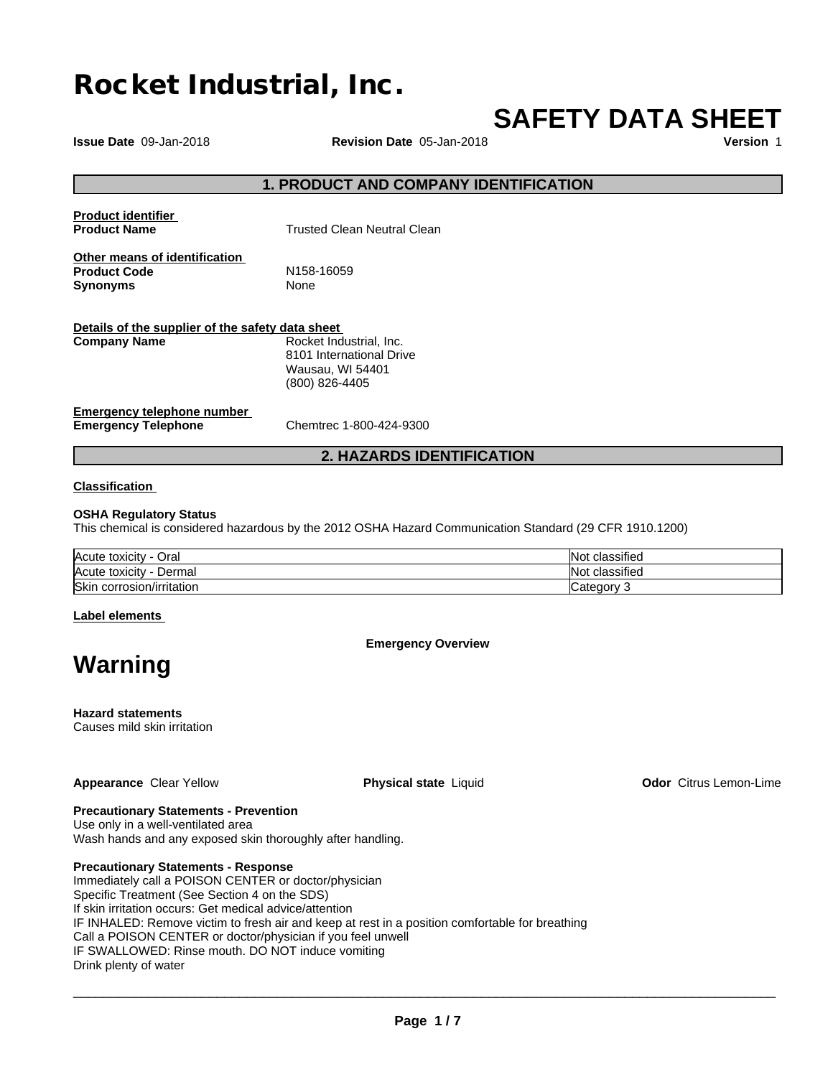# **Rocket Industrial, Inc.**

# **SAFETY DATA SHEET**

**Issue Date** 09-Jan-2018 **Revision Date** 05-Jan-2018 **Version** 1

# **1. PRODUCT AND COMPANY IDENTIFICATION**

| <b>Product identifier</b><br><b>Product Name</b>                        | <b>Trusted Clean Neutral Clean</b>                                                        |
|-------------------------------------------------------------------------|-------------------------------------------------------------------------------------------|
| Other means of identification<br><b>Product Code</b><br><b>Synonyms</b> | N <sub>158</sub> -16059<br>None                                                           |
| Details of the supplier of the safety data sheet<br><b>Company Name</b> | Rocket Industrial, Inc.<br>8101 International Drive<br>Wausau, WI 54401<br>(800) 826-4405 |
| <b>Emergency telephone number</b><br>Emarganay Talanhana                | Chamtran 1, 000, 101, 0000                                                                |

**Emergency Telephone** Chemtrec 1-800-424-9300

# **2. HAZARDS IDENTIFICATION**

## **Classification**

#### **OSHA Regulatory Status**

This chemical is considered hazardous by the 2012 OSHA Hazard Communication Standard (29 CFR 1910.1200)

| Acute                        | $\cdots$          |
|------------------------------|-------------------|
| ⊃ral                         | <b>Not</b>        |
| , toxicity                   | classified        |
| <sup>I</sup> Acute           | $\cdots$          |
| Dermal                       | <b>Not</b>        |
| , toxicitv                   | classified        |
| Skin<br>corrosion/irritation | ി∩∩<br>--<br>valt |

## **Label elements**

# **Emergency Overview**

**Warning**

# **Hazard statements**

Causes mild skin irritation

#### **Appearance** Clear Yellow **Physical state** Liquid **Odor** Citrus Lemon-Lime

#### **Precautionary Statements - Prevention** Use only in a well-ventilated area

Wash hands and any exposed skin thoroughly after handling.

## **Precautionary Statements - Response**

Immediately call a POISON CENTER or doctor/physician Specific Treatment (See Section 4 on the SDS) If skin irritation occurs: Get medical advice/attention IF INHALED: Remove victim to fresh air and keep at rest in a position comfortable for breathing Call a POISON CENTER or doctor/physician if you feel unwell IF SWALLOWED: Rinse mouth. DO NOT induce vomiting Drink plenty of water

 $\overline{\phantom{a}}$  ,  $\overline{\phantom{a}}$  ,  $\overline{\phantom{a}}$  ,  $\overline{\phantom{a}}$  ,  $\overline{\phantom{a}}$  ,  $\overline{\phantom{a}}$  ,  $\overline{\phantom{a}}$  ,  $\overline{\phantom{a}}$  ,  $\overline{\phantom{a}}$  ,  $\overline{\phantom{a}}$  ,  $\overline{\phantom{a}}$  ,  $\overline{\phantom{a}}$  ,  $\overline{\phantom{a}}$  ,  $\overline{\phantom{a}}$  ,  $\overline{\phantom{a}}$  ,  $\overline{\phantom{a}}$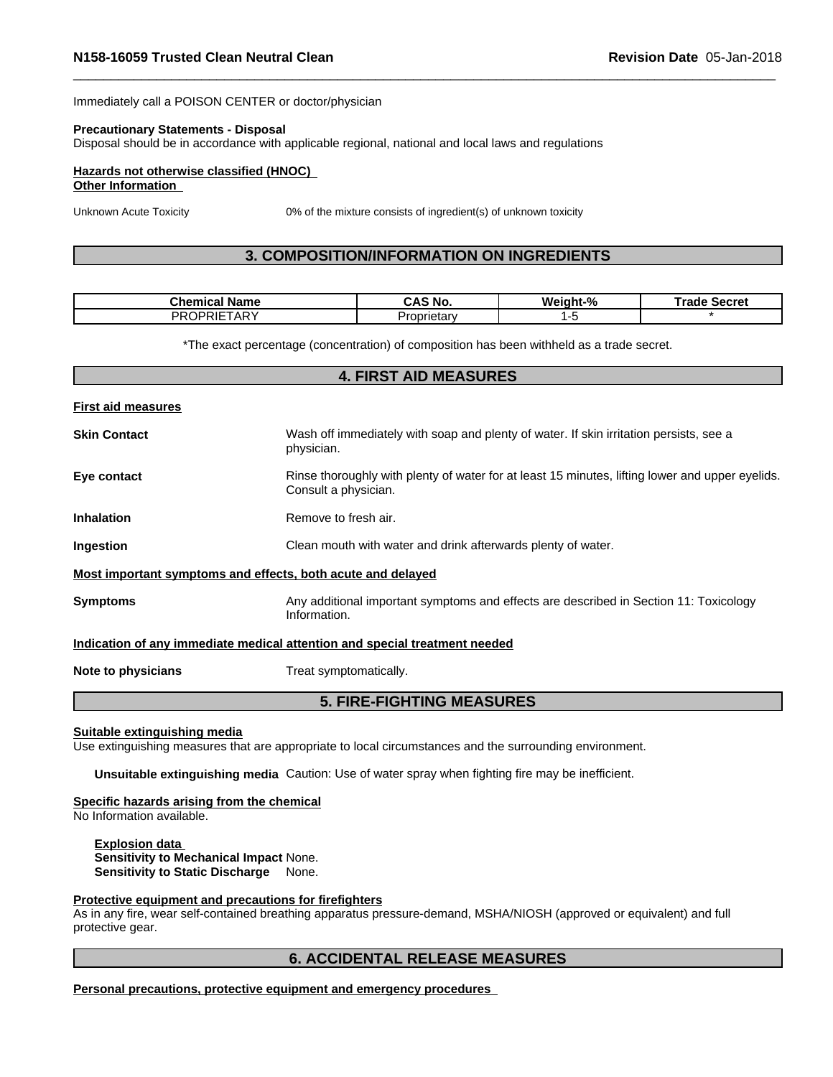Immediately call a POISON CENTER or doctor/physician

#### **Precautionary Statements - Disposal**

Disposal should be in accordance with applicable regional, national and local laws and regulations

## **Hazards not otherwise classified (HNOC)**

## **Other Information**

Unknown Acute Toxicity 0% of the mixture consists of ingredient(s) of unknown toxicity

# **3. COMPOSITION/INFORMATION ON INGREDIENTS**

| Chemical<br>Name        | ີ AS No. | Weight-% | Secret<br>Гим<br>rade |
|-------------------------|----------|----------|-----------------------|
| $1 - T$<br>ΡR<br>$\sim$ | prietar∖ |          |                       |

\*The exact percentage (concentration) of composition has been withheld as a trade secret.

| <b>First aid measures</b>                                                                                                              |  |
|----------------------------------------------------------------------------------------------------------------------------------------|--|
| <b>Skin Contact</b><br>Wash off immediately with soap and plenty of water. If skin irritation persists, see a<br>physician.            |  |
| Eye contact<br>Rinse thoroughly with plenty of water for at least 15 minutes, lifting lower and upper eyelids.<br>Consult a physician. |  |
| Remove to fresh air.<br><b>Inhalation</b>                                                                                              |  |
| Clean mouth with water and drink afterwards plenty of water.<br>Ingestion                                                              |  |
| Most important symptoms and effects, both acute and delayed                                                                            |  |
| Any additional important symptoms and effects are described in Section 11: Toxicology<br><b>Symptoms</b><br>Information.               |  |
| Indication of any immediate medical attention and special treatment needed                                                             |  |
| Treat symptomatically.<br>Note to physicians                                                                                           |  |

# **5. FIRE-FIGHTING MEASURES**

#### **Suitable extinguishing media**

Use extinguishing measures that are appropriate to local circumstances and the surrounding environment.

**Unsuitable extinguishing media** Caution: Use of water spray when fighting fire may be inefficient.

#### **Specific hazards arising from the chemical**

No Information available.

**Explosion data Sensitivity to Mechanical Impact** None. **Sensitivity to Static Discharge** None.

#### **Protective equipment and precautions for firefighters**

As in any fire, wear self-contained breathing apparatus pressure-demand, MSHA/NIOSH (approved or equivalent) and full protective gear.

# **6. ACCIDENTAL RELEASE MEASURES**

**Personal precautions, protective equipment and emergency procedures**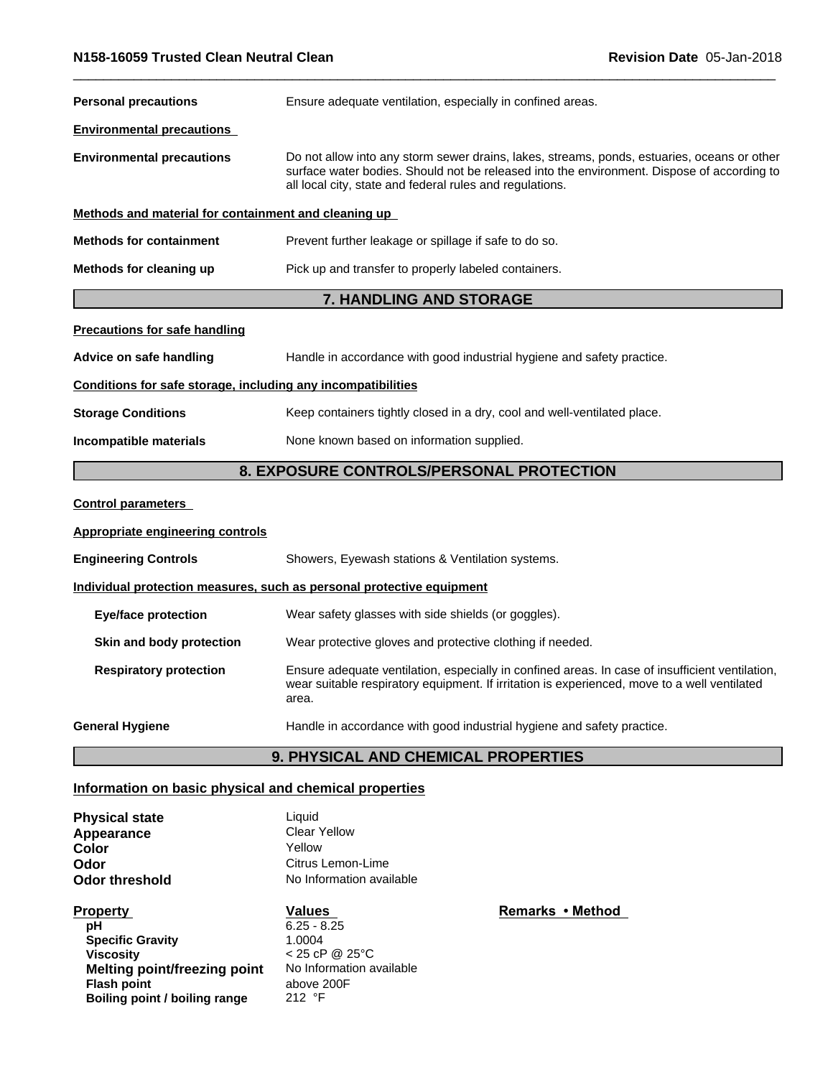| <b>Personal precautions</b>                                  | Ensure adequate ventilation, especially in confined areas.                                                                                                                                                                                            |  |  |  |
|--------------------------------------------------------------|-------------------------------------------------------------------------------------------------------------------------------------------------------------------------------------------------------------------------------------------------------|--|--|--|
| <b>Environmental precautions</b>                             |                                                                                                                                                                                                                                                       |  |  |  |
| <b>Environmental precautions</b>                             | Do not allow into any storm sewer drains, lakes, streams, ponds, estuaries, oceans or other<br>surface water bodies. Should not be released into the environment. Dispose of according to<br>all local city, state and federal rules and regulations. |  |  |  |
| Methods and material for containment and cleaning up         |                                                                                                                                                                                                                                                       |  |  |  |
| <b>Methods for containment</b>                               | Prevent further leakage or spillage if safe to do so.                                                                                                                                                                                                 |  |  |  |
| Methods for cleaning up                                      | Pick up and transfer to properly labeled containers.                                                                                                                                                                                                  |  |  |  |
|                                                              | 7. HANDLING AND STORAGE                                                                                                                                                                                                                               |  |  |  |
| <b>Precautions for safe handling</b>                         |                                                                                                                                                                                                                                                       |  |  |  |
| Advice on safe handling                                      | Handle in accordance with good industrial hygiene and safety practice.                                                                                                                                                                                |  |  |  |
| Conditions for safe storage, including any incompatibilities |                                                                                                                                                                                                                                                       |  |  |  |
| <b>Storage Conditions</b>                                    | Keep containers tightly closed in a dry, cool and well-ventilated place.                                                                                                                                                                              |  |  |  |
| Incompatible materials                                       | None known based on information supplied.                                                                                                                                                                                                             |  |  |  |
|                                                              | 8. EXPOSURE CONTROLS/PERSONAL PROTECTION                                                                                                                                                                                                              |  |  |  |
| <b>Control parameters</b>                                    |                                                                                                                                                                                                                                                       |  |  |  |
| <b>Appropriate engineering controls</b>                      |                                                                                                                                                                                                                                                       |  |  |  |
| <b>Engineering Controls</b>                                  | Showers, Eyewash stations & Ventilation systems.                                                                                                                                                                                                      |  |  |  |
|                                                              | Individual protection measures, such as personal protective equipment                                                                                                                                                                                 |  |  |  |
| <b>Eye/face protection</b>                                   | Wear safety glasses with side shields (or goggles).                                                                                                                                                                                                   |  |  |  |
| Skin and body protection                                     | Wear protective gloves and protective clothing if needed.                                                                                                                                                                                             |  |  |  |
| <b>Respiratory protection</b>                                | Ensure adequate ventilation, especially in confined areas. In case of insufficient ventilation,<br>wear suitable respiratory equipment. If irritation is experienced, move to a well ventilated<br>area.                                              |  |  |  |
| <b>General Hygiene</b>                                       | Handle in accordance with good industrial hygiene and safety practice.                                                                                                                                                                                |  |  |  |
|                                                              | 9. PHYSICAL AND CHEMICAL PROPERTIES                                                                                                                                                                                                                   |  |  |  |

# **Information on basic physical and chemical properties**

**Physical state Liquid Liquid Clear Yellow**<br>Yellow **Color Color Color Property Property Property Property Property Property Property Property Property Property Property Property Property Property Property Property Property Property Citrus Lemon-Lime No Information available** 

| <b>Property</b>               | Values                   | Remarks • N |
|-------------------------------|--------------------------|-------------|
| рH                            | $6.25 - 8.25$            |             |
| <b>Specific Gravity</b>       | 1.0004                   |             |
| <b>Viscosity</b>              | $< 25$ cP @ 25°C         |             |
| Melting point/freezing point  | No Information available |             |
| <b>Flash point</b>            | above 200F               |             |
| Boiling point / boiling range | 212 $\degree$ F          |             |

**Remarks** • Method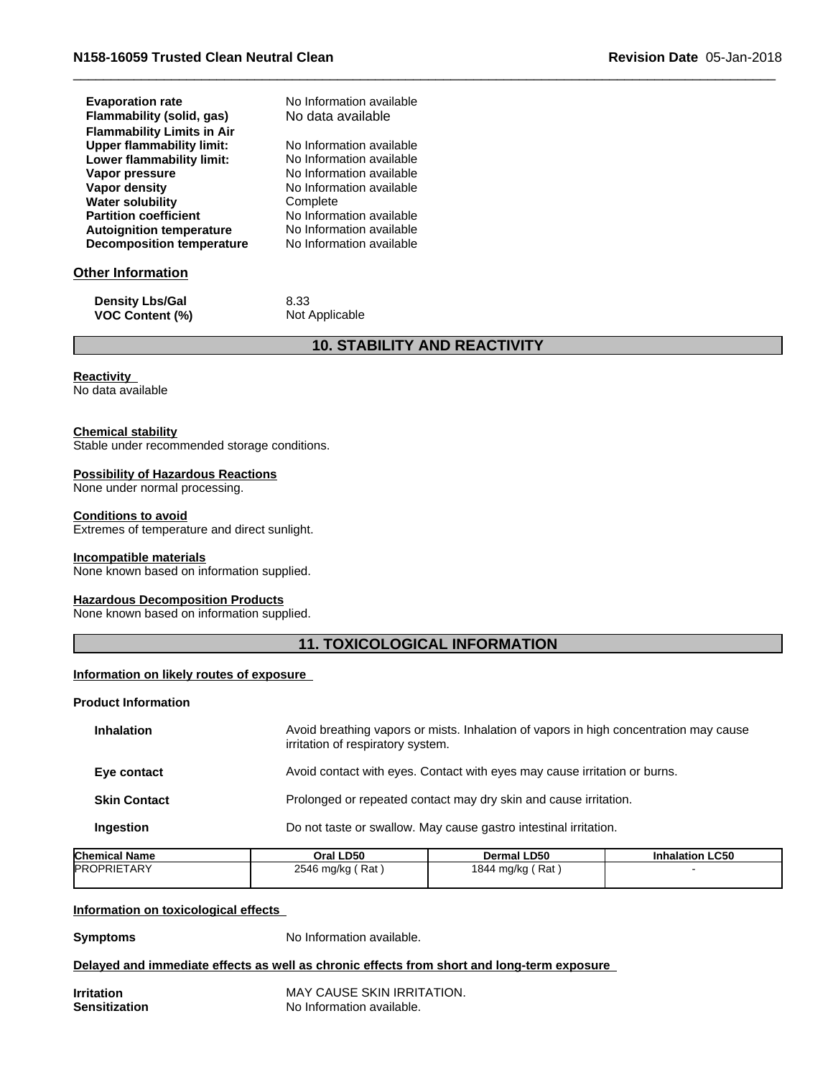| <b>Evaporation rate</b>           | No Information available |
|-----------------------------------|--------------------------|
| Flammability (solid, gas)         | No data available        |
| <b>Flammability Limits in Air</b> |                          |
| <b>Upper flammability limit:</b>  | No Information available |
| Lower flammability limit:         | No Information available |
| Vapor pressure                    | No Information available |
| Vapor density                     | No Information available |
| <b>Water solubility</b>           | Complete                 |
| <b>Partition coefficient</b>      | No Information available |
| <b>Autoignition temperature</b>   | No Information available |
| <b>Decomposition temperature</b>  | No Information available |

# **Other Information**

| <b>Density Lbs/Gal</b> | 8.33           |
|------------------------|----------------|
| <b>VOC Content (%)</b> | Not Applicable |

# **10. STABILITY AND REACTIVITY**

#### **Reactivity**

No data available

## **Chemical stability**

Stable under recommended storage conditions.

## **Possibility of Hazardous Reactions**

None under normal processing.

#### **Conditions to avoid**

Extremes of temperature and direct sunlight.

#### **Incompatible materials**

None known based on information supplied.

#### **Hazardous Decomposition Products**

None known based on information supplied.

# **11. TOXICOLOGICAL INFORMATION**

#### **Information on likely routes of exposure**

## **Product Information**

| Avoid breathing vapors or mists. Inhalation of vapors in high concentration may cause<br>irritation of respiratory system. |
|----------------------------------------------------------------------------------------------------------------------------|
| Avoid contact with eyes. Contact with eyes may cause irritation or burns.                                                  |
| Prolonged or repeated contact may dry skin and cause irritation.                                                           |
| Do not taste or swallow. May cause gastro intestinal irritation.                                                           |
|                                                                                                                            |

| <b>Chemical Name</b> | Oral LD50           | Dermal LD50      | <b>Inhalation LC50</b> |
|----------------------|---------------------|------------------|------------------------|
| <b>PROPRIETARY</b>   | ์ Rat<br>2546 mg/kg | 1844 mg/kg (Rat) |                        |
|                      |                     |                  |                        |

#### **Information on toxicological effects**

**Symptoms** No Information available.

## **Delayed and immediate effects as well as chronic effects from short and long-term exposure**

**Irritation** MAY CAUSE SKIN IRRITATION. **Sensitization** No Information available.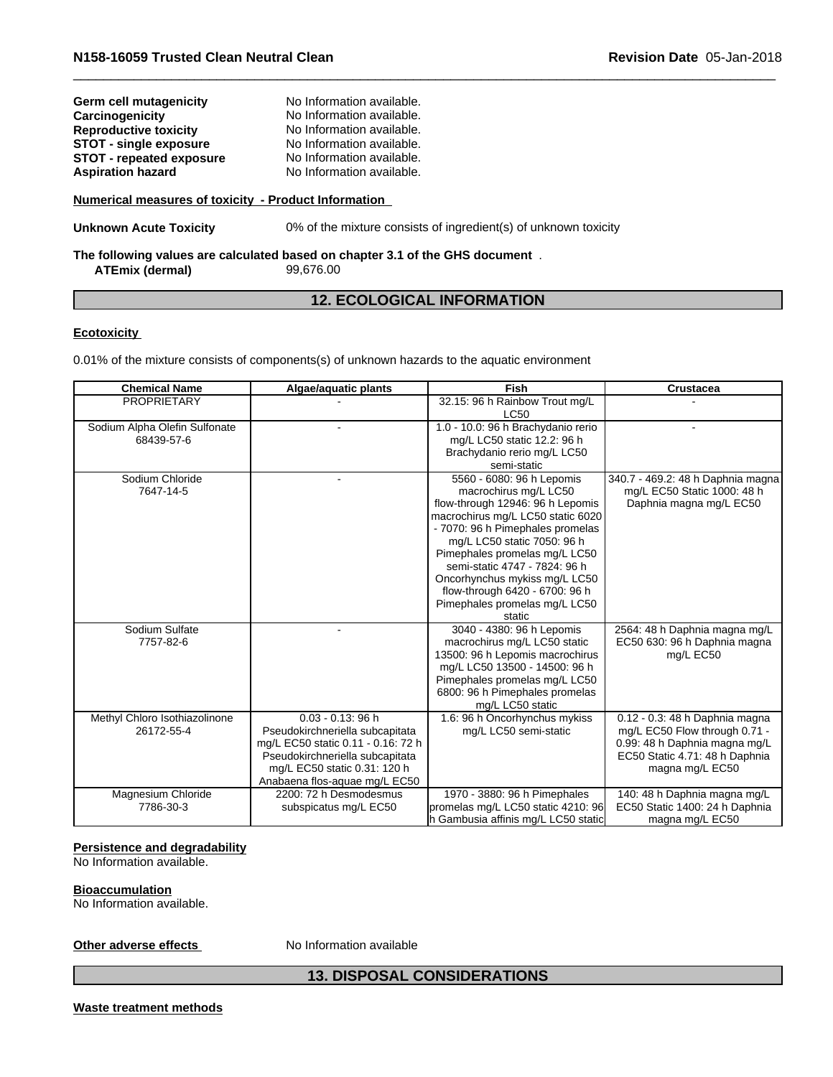| Germ cell mutagenicity                               | No Information available. |  |  |
|------------------------------------------------------|---------------------------|--|--|
| Carcinogenicity                                      | No Information available. |  |  |
| <b>Reproductive toxicity</b>                         | No Information available. |  |  |
| <b>STOT - single exposure</b>                        | No Information available. |  |  |
| <b>STOT - repeated exposure</b>                      | No Information available. |  |  |
| <b>Aspiration hazard</b>                             | No Information available. |  |  |
|                                                      |                           |  |  |
| Numerical measures of toxicity - Product Information |                           |  |  |

**Unknown Acute Toxicity** 0% of the mixture consists of ingredient(s) of unknown toxicity

#### **The following values are calculated based on chapter 3.1 of the GHS document** . **ATEmix** (dermal)

# **12. ECOLOGICAL INFORMATION**

## **Ecotoxicity**

0.01% of the mixture consists of components(s) of unknown hazards to the aquatic environment

| <b>Chemical Name</b>          | Algae/aquatic plants               | Fish                                | Crustacea                         |
|-------------------------------|------------------------------------|-------------------------------------|-----------------------------------|
| <b>PROPRIETARY</b>            |                                    | 32.15: 96 h Rainbow Trout mg/L      |                                   |
|                               |                                    | <b>LC50</b>                         |                                   |
| Sodium Alpha Olefin Sulfonate |                                    | 1.0 - 10.0: 96 h Brachydanio rerio  |                                   |
| 68439-57-6                    |                                    | mg/L LC50 static 12.2: 96 h         |                                   |
|                               |                                    | Brachydanio rerio mg/L LC50         |                                   |
|                               |                                    | semi-static                         |                                   |
| Sodium Chloride               |                                    | 5560 - 6080: 96 h Lepomis           | 340.7 - 469.2: 48 h Daphnia magna |
| 7647-14-5                     |                                    | macrochirus mg/L LC50               | mg/L EC50 Static 1000: 48 h       |
|                               |                                    | flow-through 12946: 96 h Lepomis    | Daphnia magna mg/L EC50           |
|                               |                                    | macrochirus mg/L LC50 static 6020   |                                   |
|                               |                                    | - 7070: 96 h Pimephales promelas    |                                   |
|                               |                                    | mg/L LC50 static 7050: 96 h         |                                   |
|                               |                                    | Pimephales promelas mg/L LC50       |                                   |
|                               |                                    | semi-static 4747 - 7824: 96 h       |                                   |
|                               |                                    | Oncorhynchus mykiss mg/L LC50       |                                   |
|                               |                                    | flow-through 6420 - 6700: 96 h      |                                   |
|                               |                                    | Pimephales promelas mg/L LC50       |                                   |
|                               |                                    | static                              |                                   |
| Sodium Sulfate                |                                    | 3040 - 4380: 96 h Lepomis           | 2564: 48 h Daphnia magna mg/L     |
| 7757-82-6                     |                                    | macrochirus mg/L LC50 static        | EC50 630: 96 h Daphnia magna      |
|                               |                                    | 13500: 96 h Lepomis macrochirus     | mg/L EC50                         |
|                               |                                    | mg/L LC50 13500 - 14500: 96 h       |                                   |
|                               |                                    | Pimephales promelas mg/L LC50       |                                   |
|                               |                                    | 6800: 96 h Pimephales promelas      |                                   |
|                               |                                    | mg/L LC50 static                    |                                   |
| Methyl Chloro Isothiazolinone | $0.03 - 0.13$ : 96 h               | 1.6: 96 h Oncorhynchus mykiss       | 0.12 - 0.3: 48 h Daphnia magna    |
| 26172-55-4                    | Pseudokirchneriella subcapitata    | mg/L LC50 semi-static               | mg/L EC50 Flow through 0.71 -     |
|                               | mg/L EC50 static 0.11 - 0.16: 72 h |                                     | 0.99: 48 h Daphnia magna mg/L     |
|                               | Pseudokirchneriella subcapitata    |                                     | EC50 Static 4.71: 48 h Daphnia    |
|                               | mg/L EC50 static 0.31: 120 h       |                                     | magna mg/L EC50                   |
|                               | Anabaena flos-aquae mg/L EC50      |                                     |                                   |
| Magnesium Chloride            | 2200: 72 h Desmodesmus             | 1970 - 3880: 96 h Pimephales        | 140: 48 h Daphnia magna mg/L      |
| 7786-30-3                     | subspicatus mg/L EC50              | promelas mg/L LC50 static 4210: 96  | EC50 Static 1400: 24 h Daphnia    |
|                               |                                    | h Gambusia affinis mg/L LC50 static | magna mg/L EC50                   |

# **Persistence and degradability**

No Information available.

#### **Bioaccumulation**

No Information available.

# **Other adverse effects** No Information available

# **13. DISPOSAL CONSIDERATIONS**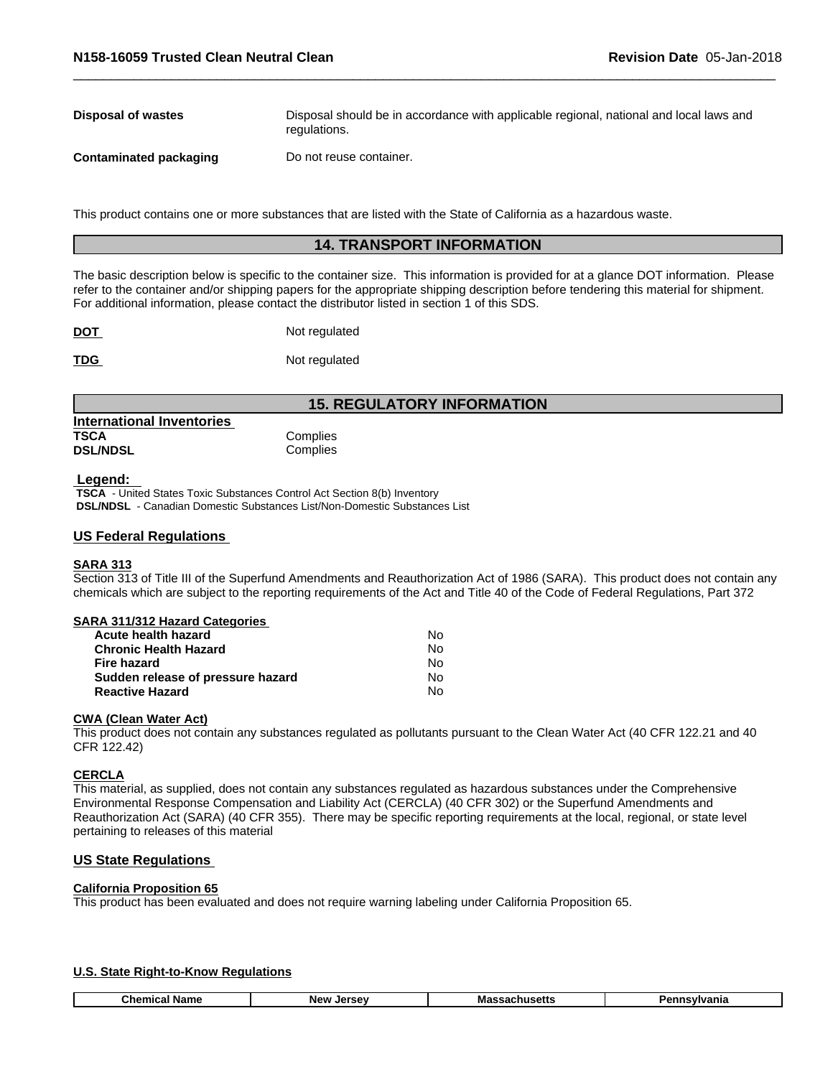| Disposal of wastes     | Disposal should be in accordance with applicable regional, national and local laws and<br>regulations. |
|------------------------|--------------------------------------------------------------------------------------------------------|
| Contaminated packaging | Do not reuse container.                                                                                |

This product contains one or more substances that are listed with the State of California as a hazardous waste.

# **14. TRANSPORT INFORMATION**

The basic description below is specific to the container size. This information is provided for at a glance DOT information. Please refer to the container and/or shipping papers for the appropriate shipping description before tendering this material for shipment. For additional information, please contact the distributor listed in section 1 of this SDS.

| $\underline{$ | Not regulated |
|---------------|---------------|
| <b>TDG</b>    | Not regulated |

# **15. REGULATORY INFORMATION**

| <b>International Inventories</b> |          |  |
|----------------------------------|----------|--|
| TSCA                             | Complies |  |
| <b>DSL/NDSL</b>                  | Complies |  |

#### **Legend:**

 **TSCA** - United States Toxic Substances Control Act Section 8(b) Inventory  **DSL/NDSL** - Canadian Domestic Substances List/Non-Domestic Substances List

#### **US Federal Regulations**

## **SARA 313**

Section 313 of Title III of the Superfund Amendments and Reauthorization Act of 1986 (SARA). This product does not contain any chemicals which are subject to the reporting requirements of the Act and Title 40 of the Code of Federal Regulations, Part 372

| <b>SARA 311/312 Hazard Categories</b> |  |
|---------------------------------------|--|
|                                       |  |

| Acute health hazard               | No  |
|-----------------------------------|-----|
| <b>Chronic Health Hazard</b>      | N٥  |
| Fire hazard                       | N٥  |
| Sudden release of pressure hazard | No. |
| <b>Reactive Hazard</b>            | N٥  |

#### **CWA** (Clean Water Act)

This product does not contain any substances regulated as pollutants pursuant to the Clean Water Act (40 CFR 122.21 and 40 CFR 122.42)

#### **CERCLA**

ſ

This material, as supplied, does not contain any substances regulated as hazardous substances under the Comprehensive Environmental Response Compensation and Liability Act (CERCLA) (40 CFR 302) or the Superfund Amendments and Reauthorization Act (SARA) (40 CFR 355). There may be specific reporting requirements at the local, regional, or state level pertaining to releases of this material

# **US State Regulations**

## **California Proposition 65**

This product has been evaluated and does not require warning labeling under California Proposition 65.

#### **U.S. State Right-to-Know Regulations**

| Chemica<br>Name<br>Ν۵ι | Massach<br>sachusetts<br>larcay | `vivania<br><u> Вари</u> |
|------------------------|---------------------------------|--------------------------|
|------------------------|---------------------------------|--------------------------|